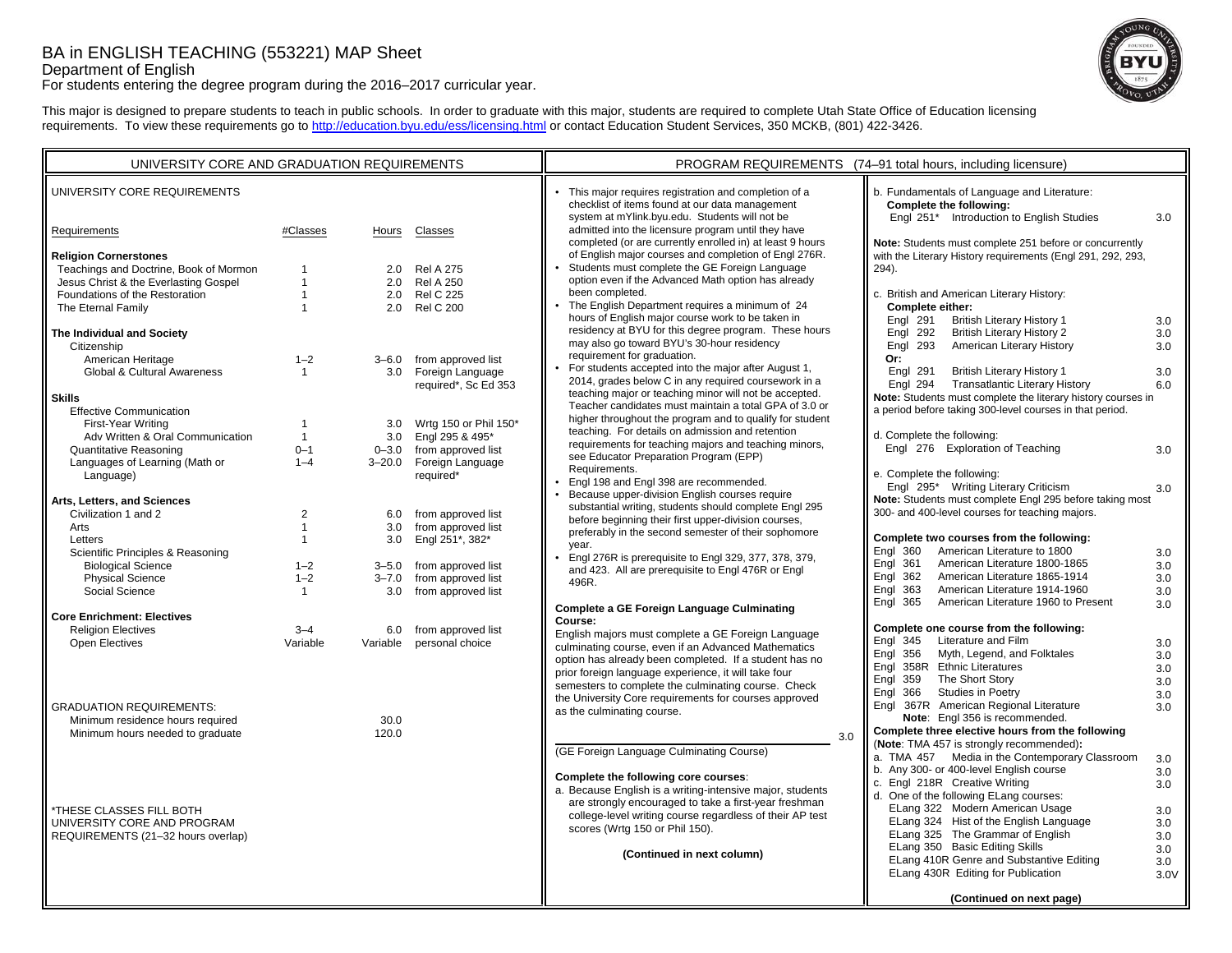# BA in ENGLISH TEACHING (553221) MAP Sheet

Department of English

For students entering the degree program during the 2016–2017 curricular year.



This major is designed to prepare students to teach in public schools. In order to graduate with this major, students are required to complete Utah State Office of Education licensing requirements. To view these requirements go to http://education.byu.edu/ess/licensing.html or contact Education Student Services, 350 MCKB, (801) 422-3426.

| UNIVERSITY CORE AND GRADUATION REQUIREMENTS         |                |           |                                              | PROGRAM REQUIREMENTS (74-91 total hours, including licensure)                                                      |                                                                                                                        |      |
|-----------------------------------------------------|----------------|-----------|----------------------------------------------|--------------------------------------------------------------------------------------------------------------------|------------------------------------------------------------------------------------------------------------------------|------|
| UNIVERSITY CORE REQUIREMENTS                        |                |           |                                              | • This major requires registration and completion of a<br>checklist of items found at our data management          | b. Fundamentals of Language and Literature:<br>Complete the following:                                                 |      |
| Requirements                                        | #Classes       | Hours     | Classes                                      | system at mYlink.byu.edu. Students will not be<br>admitted into the licensure program until they have              | Engl 251* Introduction to English Studies                                                                              | 3.0  |
| <b>Religion Cornerstones</b>                        |                |           |                                              | completed (or are currently enrolled in) at least 9 hours<br>of English major courses and completion of Engl 276R. | Note: Students must complete 251 before or concurrently<br>with the Literary History requirements (Engl 291, 292, 293, |      |
| Teachings and Doctrine, Book of Mormon              |                | 2.0       | <b>Rel A 275</b>                             | Students must complete the GE Foreign Language                                                                     | 294).                                                                                                                  |      |
| Jesus Christ & the Everlasting Gospel               | 1              | 2.0       | <b>Rel A 250</b>                             | option even if the Advanced Math option has already                                                                |                                                                                                                        |      |
| Foundations of the Restoration                      | $\mathbf{1}$   | 2.0       | <b>Rel C 225</b>                             | been completed.                                                                                                    | c. British and American Literary History:                                                                              |      |
| The Eternal Family                                  | $\overline{1}$ | 2.0       | <b>Rel C 200</b>                             | • The English Department requires a minimum of 24                                                                  | <b>Complete either:</b>                                                                                                |      |
|                                                     |                |           |                                              | hours of English major course work to be taken in                                                                  | Engl 291<br><b>British Literary History 1</b>                                                                          | 3.0  |
| The Individual and Society                          |                |           |                                              | residency at BYU for this degree program. These hours<br>may also go toward BYU's 30-hour residency                | <b>British Literary History 2</b><br>Engl 292                                                                          | 3.0  |
| Citizenship                                         |                |           |                                              | requirement for graduation.                                                                                        | American Literary History<br><b>Engl 293</b><br>Or:                                                                    | 3.0  |
| American Heritage<br>Global & Cultural Awareness    | $1 - 2$        | 3.0       | 3-6.0 from approved list<br>Foreign Language | For students accepted into the major after August 1,                                                               | Engl 291<br><b>British Literary History 1</b>                                                                          | 3.0  |
|                                                     | $\mathbf{1}$   |           | required*, Sc Ed 353                         | 2014, grades below C in any required coursework in a                                                               | <b>Transatlantic Literary History</b><br><b>Engl 294</b>                                                               | 6.0  |
| <b>Skills</b>                                       |                |           |                                              | teaching major or teaching minor will not be accepted.                                                             | Note: Students must complete the literary history courses in                                                           |      |
| <b>Effective Communication</b>                      |                |           |                                              | Teacher candidates must maintain a total GPA of 3.0 or                                                             | a period before taking 300-level courses in that period.                                                               |      |
| First-Year Writing                                  | $\mathbf 1$    | 3.0       | Wrtg 150 or Phil 150*                        | higher throughout the program and to qualify for student                                                           |                                                                                                                        |      |
| Adv Written & Oral Communication                    | $\mathbf{1}$   | 3.0       | Engl 295 & 495*                              | teaching. For details on admission and retention                                                                   | d. Complete the following:                                                                                             |      |
| Quantitative Reasoning                              | $0 - 1$        |           | 0-3.0 from approved list                     | requirements for teaching majors and teaching minors,<br>see Educator Preparation Program (EPP)                    | Engl 276 Exploration of Teaching                                                                                       | 3.0  |
| Languages of Learning (Math or                      | $1 - 4$        |           | 3-20.0 Foreign Language                      | Requirements.                                                                                                      |                                                                                                                        |      |
| Language)                                           |                |           | required*                                    | Engl 198 and Engl 398 are recommended.                                                                             | e. Complete the following:                                                                                             |      |
|                                                     |                |           |                                              | Because upper-division English courses require                                                                     | Engl 295* Writing Literary Criticism<br>Note: Students must complete Engl 295 before taking most                       | 3.0  |
| Arts, Letters, and Sciences<br>Civilization 1 and 2 | $\overline{2}$ | 6.0       | from approved list                           | substantial writing, students should complete Engl 295                                                             | 300- and 400-level courses for teaching majors.                                                                        |      |
| Arts                                                | $\mathbf{1}$   | 3.0       | from approved list                           | before beginning their first upper-division courses,                                                               |                                                                                                                        |      |
| Letters                                             | 1              | 3.0       | Engl 251*, 382*                              | preferably in the second semester of their sophomore                                                               | Complete two courses from the following:                                                                               |      |
| Scientific Principles & Reasoning                   |                |           |                                              | vear.                                                                                                              | American Literature to 1800<br><b>Engl 360</b>                                                                         | 3.0  |
| <b>Biological Science</b>                           | $1 - 2$        |           | 3-5.0 from approved list                     | Engl 276R is prerequisite to Engl 329, 377, 378, 379,<br>and 423. All are prerequisite to Engl 476R or Engl        | Engl 361<br>American Literature 1800-1865                                                                              | 3.0  |
| <b>Physical Science</b>                             | $1 - 2$        | $3 - 7.0$ | from approved list                           | 496R.                                                                                                              | Engl 362<br>American Literature 1865-1914                                                                              | 3.0  |
| Social Science                                      | $\mathbf{1}$   | 3.0       | from approved list                           |                                                                                                                    | Engl 363<br>American Literature 1914-1960                                                                              | 3.0  |
| <b>Core Enrichment: Electives</b>                   |                |           |                                              | Complete a GE Foreign Language Culminating                                                                         | Engl 365<br>American Literature 1960 to Present                                                                        | 3.0  |
| <b>Religion Electives</b>                           | $3 - 4$        |           | 6.0 from approved list                       | Course:                                                                                                            | Complete one course from the following:                                                                                |      |
| Open Electives                                      | Variable       |           | Variable personal choice                     | English majors must complete a GE Foreign Language                                                                 | Literature and Film<br><b>Engl 345</b>                                                                                 | 3.0  |
|                                                     |                |           |                                              | culminating course, even if an Advanced Mathematics<br>option has already been completed. If a student has no      | Engl 356<br>Myth, Legend, and Folktales                                                                                | 3.0  |
|                                                     |                |           |                                              | prior foreign language experience, it will take four                                                               | Engl 358R Ethnic Literatures                                                                                           | 3.0  |
|                                                     |                |           |                                              | semesters to complete the culminating course. Check                                                                | The Short Story<br>Engl 359                                                                                            | 3.0  |
|                                                     |                |           |                                              | the University Core requirements for courses approved                                                              | Engl 366<br>Studies in Poetry                                                                                          | 3.0  |
| <b>GRADUATION REQUIREMENTS:</b>                     |                |           |                                              | as the culminating course.                                                                                         | Engl 367R American Regional Literature                                                                                 | 3.0  |
| Minimum residence hours required                    |                | 30.0      |                                              |                                                                                                                    | Note: Engl 356 is recommended.<br>Complete three elective hours from the following                                     |      |
| Minimum hours needed to graduate                    |                | 120.0     |                                              | 3.0                                                                                                                | (Note: TMA 457 is strongly recommended):                                                                               |      |
|                                                     |                |           |                                              | (GE Foreign Language Culminating Course)                                                                           | a. TMA 457 Media in the Contemporary Classroom                                                                         | 3.0  |
|                                                     |                |           |                                              |                                                                                                                    | b. Any 300- or 400-level English course                                                                                | 3.0  |
|                                                     |                |           |                                              | Complete the following core courses:                                                                               | c. Engl 218R Creative Writing                                                                                          | 3.0  |
|                                                     |                |           |                                              | a. Because English is a writing-intensive major, students<br>are strongly encouraged to take a first-year freshman | d. One of the following ELang courses:                                                                                 |      |
| <b><i>*THESE CLASSES FILL BOTH</i></b>              |                |           |                                              | college-level writing course regardless of their AP test                                                           | ELang 322 Modern American Usage                                                                                        | 3.0  |
| UNIVERSITY CORE AND PROGRAM                         |                |           |                                              | scores (Wrtg 150 or Phil 150).                                                                                     | ELang 324 Hist of the English Language                                                                                 | 3.0  |
| REQUIREMENTS (21-32 hours overlap)                  |                |           |                                              |                                                                                                                    | ELang 325 The Grammar of English                                                                                       | 3.0  |
|                                                     |                |           |                                              | (Continued in next column)                                                                                         | ELang 350 Basic Editing Skills                                                                                         | 3.0  |
|                                                     |                |           |                                              |                                                                                                                    | ELang 410R Genre and Substantive Editing<br>ELang 430R Editing for Publication                                         | 3.0  |
|                                                     |                |           |                                              |                                                                                                                    |                                                                                                                        | 3.0V |
|                                                     |                |           |                                              |                                                                                                                    | (Continued on next page)                                                                                               |      |